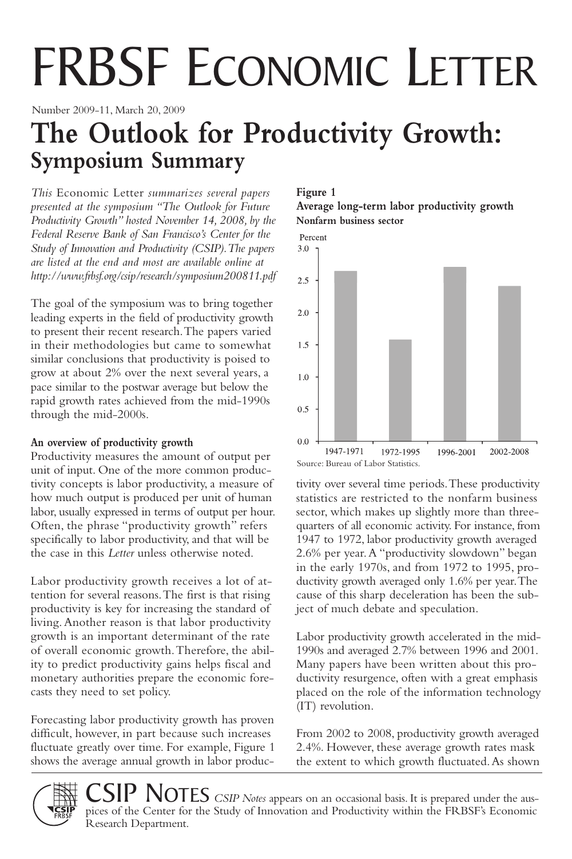# FRBSF ECONOMIC LETTER

Number 2009-11, March 20, 2009

## **The Outlook for Productivity Growth: Symposium Summary**

*This* Economic Letter *summarizes several papers presented at the symposium "The Outlook for Future Productivity Growth" hosted November 14, 2008, by the Federal Reserve Bank of San Francisco's Center for the Study of Innovation and Productivity (CSIP).The papers are listed at the end and most are available online at http://www.frbsf.org/csip/research/symposium200811.pdf*

The goal of the symposium was to bring together leading experts in the field of productivity growth to present their recent research.The papers varied in their methodologies but came to somewhat similar conclusions that productivity is poised to grow at about 2% over the next several years, a pace similar to the postwar average but below the rapid growth rates achieved from the mid-1990s through the mid-2000s.

#### **An overview of productivity growth**

Productivity measures the amount of output per unit of input. One of the more common productivity concepts is labor productivity, a measure of how much output is produced per unit of human labor, usually expressed in terms of output per hour. Often, the phrase "productivity growth" refers specifically to labor productivity, and that will be the case in this *Letter* unless otherwise noted.

Labor productivity growth receives a lot of attention for several reasons.The first is that rising productivity is key for increasing the standard of living.Another reason is that labor productivity growth is an important determinant of the rate of overall economic growth.Therefore, the ability to predict productivity gains helps fiscal and monetary authorities prepare the economic forecasts they need to set policy.

Forecasting labor productivity growth has proven difficult, however, in part because such increases fluctuate greatly over time. For example, Figure 1 shows the average annual growth in labor produc-

Research Department.

#### **Figure 1**

**Average long-term labor productivity growth Nonfarm business sector**



tivity over several time periods.These productivity statistics are restricted to the nonfarm business sector, which makes up slightly more than threequarters of all economic activity. For instance, from 1947 to 1972, labor productivity growth averaged 2.6% per year.A "productivity slowdown" began in the early 1970s, and from 1972 to 1995, productivity growth averaged only 1.6% per year.The cause of this sharp deceleration has been the subject of much debate and speculation.

Labor productivity growth accelerated in the mid-1990s and averaged 2.7% between 1996 and 2001. Many papers have been written about this productivity resurgence, often with a great emphasis placed on the role of the information technology (IT) revolution.

From 2002 to 2008, productivity growth averaged 2.4%. However, these average growth rates mask the extent to which growth fluctuated.As shown

SIP NOTES *CSIP Notes* appears on an occasional basis. It is prepared under the auspices of the Center for the Study of Innovation and Productivity within the FRBSF's Economic

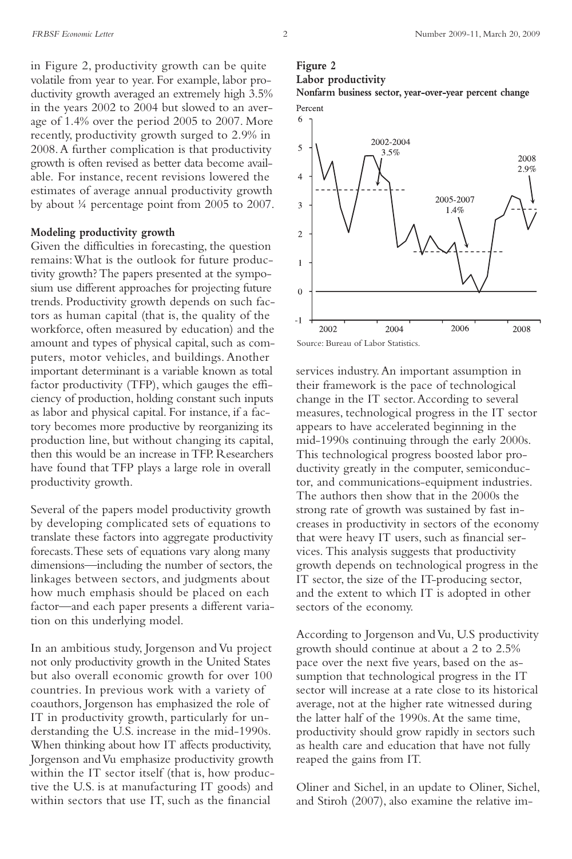in Figure 2, productivity growth can be quite volatile from year to year. For example, labor productivity growth averaged an extremely high 3.5% in the years 2002 to 2004 but slowed to an average of 1.4% over the period 2005 to 2007. More recently, productivity growth surged to 2.9% in 2008.A further complication is that productivity growth is often revised as better data become available. For instance, recent revisions lowered the estimates of average annual productivity growth by about ¼ percentage point from 2005 to 2007.

#### **Modeling productivity growth**

Given the difficulties in forecasting, the question remains:What is the outlook for future productivity growth?The papers presented at the symposium use different approaches for projecting future trends. Productivity growth depends on such factors as human capital (that is, the quality of the workforce, often measured by education) and the amount and types of physical capital, such as computers, motor vehicles, and buildings.Another important determinant is a variable known as total factor productivity (TFP), which gauges the efficiency of production, holding constant such inputs as labor and physical capital. For instance, if a factory becomes more productive by reorganizing its production line, but without changing its capital, then this would be an increase inTFP. Researchers have found that TFP plays a large role in overall productivity growth.

Several of the papers model productivity growth by developing complicated sets of equations to translate these factors into aggregate productivity forecasts.These sets of equations vary along many dimensions—including the number of sectors, the linkages between sectors, and judgments about how much emphasis should be placed on each factor—and each paper presents a different variation on this underlying model.

In an ambitious study, Jorgenson and Vu project not only productivity growth in the United States but also overall economic growth for over 100 countries. In previous work with a variety of coauthors, Jorgenson has emphasized the role of IT in productivity growth, particularly for understanding the U.S. increase in the mid-1990s. When thinking about how IT affects productivity, Jorgenson andVu emphasize productivity growth within the IT sector itself (that is, how productive the U.S. is at manufacturing IT goods) and within sectors that use IT, such as the financial

### **Figure 2**



**Nonfarm business sector, year-over-year percent change** Percent



Source: Bureau of Labor Statistics.

services industry.An important assumption in their framework is the pace of technological change in the IT sector.According to several measures, technological progress in the IT sector appears to have accelerated beginning in the mid-1990s continuing through the early 2000s. This technological progress boosted labor productivity greatly in the computer, semiconductor, and communications-equipment industries. The authors then show that in the 2000s the strong rate of growth was sustained by fast increases in productivity in sectors of the economy that were heavy IT users, such as financial services. This analysis suggests that productivity growth depends on technological progress in the IT sector, the size of the IT-producing sector, and the extent to which IT is adopted in other sectors of the economy.

According to Jorgenson and Vu, U.S productivity growth should continue at about a 2 to 2.5% pace over the next five years, based on the assumption that technological progress in the IT sector will increase at a rate close to its historical average, not at the higher rate witnessed during the latter half of the 1990s.At the same time, productivity should grow rapidly in sectors such as health care and education that have not fully reaped the gains from IT.

Oliner and Sichel, in an update to Oliner, Sichel, and Stiroh (2007), also examine the relative im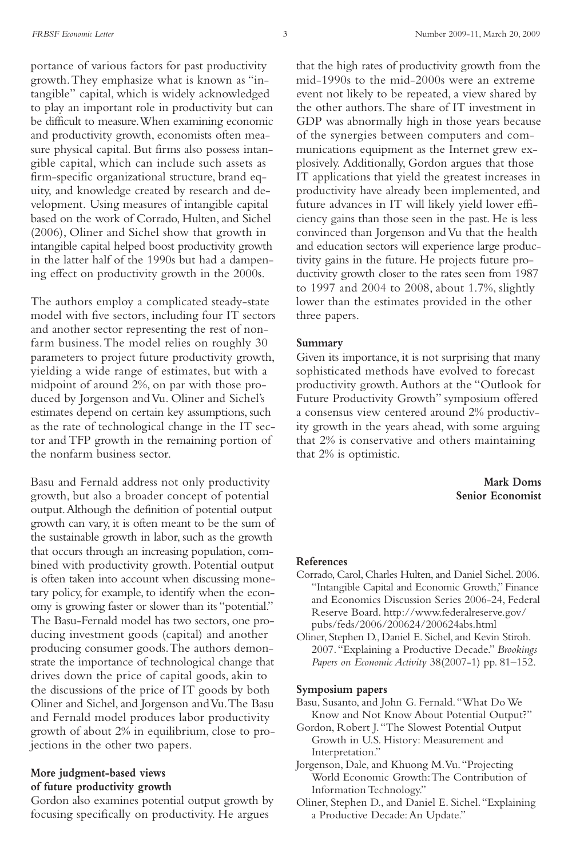portance of various factors for past productivity growth.They emphasize what is known as "intangible" capital, which is widely acknowledged to play an important role in productivity but can be difficult to measure.When examining economic and productivity growth, economists often measure physical capital. But firms also possess intangible capital, which can include such assets as firm-specific organizational structure, brand equity, and knowledge created by research and development. Using measures of intangible capital based on the work of Corrado, Hulten, and Sichel (2006), Oliner and Sichel show that growth in intangible capital helped boost productivity growth in the latter half of the 1990s but had a dampening effect on productivity growth in the 2000s.

The authors employ a complicated steady-state model with five sectors, including four IT sectors and another sector representing the rest of nonfarm business.The model relies on roughly 30 parameters to project future productivity growth, yielding a wide range of estimates, but with a midpoint of around 2%, on par with those produced by Jorgenson andVu. Oliner and Sichel's estimates depend on certain key assumptions, such as the rate of technological change in the IT sector and TFP growth in the remaining portion of the nonfarm business sector.

Basu and Fernald address not only productivity growth, but also a broader concept of potential output.Although the definition of potential output growth can vary, it is often meant to be the sum of the sustainable growth in labor, such as the growth that occurs through an increasing population, combined with productivity growth. Potential output is often taken into account when discussing monetary policy, for example, to identify when the economy is growing faster or slower than its "potential." The Basu-Fernald model has two sectors, one producing investment goods (capital) and another producing consumer goods.The authors demonstrate the importance of technological change that drives down the price of capital goods, akin to the discussions of the price of IT goods by both Oliner and Sichel, and Jorgenson and Vu. The Basu and Fernald model produces labor productivity growth of about 2% in equilibrium, close to projections in the other two papers.

#### **More judgment-based views of future productivity growth**

Gordon also examines potential output growth by focusing specifically on productivity. He argues

that the high rates of productivity growth from the mid-1990s to the mid-2000s were an extreme event not likely to be repeated, a view shared by the other authors.The share of IT investment in GDP was abnormally high in those years because of the synergies between computers and communications equipment as the Internet grew explosively. Additionally, Gordon argues that those IT applications that yield the greatest increases in productivity have already been implemented, and future advances in IT will likely yield lower efficiency gains than those seen in the past. He is less convinced than Jorgenson andVu that the health and education sectors will experience large productivity gains in the future. He projects future productivity growth closer to the rates seen from 1987 to 1997 and 2004 to 2008, about 1.7%, slightly lower than the estimates provided in the other three papers.

#### **Summary**

Given its importance, it is not surprising that many sophisticated methods have evolved to forecast productivity growth.Authors at the "Outlook for Future Productivity Growth" symposium offered a consensus view centered around 2% productivity growth in the years ahead, with some arguing that 2% is conservative and others maintaining that 2% is optimistic.

#### **Mark Doms Senior Economist**

#### **References**

- Corrado, Carol, Charles Hulten, and Daniel Sichel. 2006. "Intangible Capital and Economic Growth," Finance and Economics Discussion Series 2006-24, Federal Reserve Board. http://www.federalreserve.gov/ pubs/feds/2006/200624/200624abs.html
- Oliner, Stephen D., Daniel E. Sichel,and Kevin Stiroh. 2007."Explaining a Productive Decade." *Brookings Papers on Economic Activity* 38(2007-1) pp. 81–152.

#### **Symposium papers**

- Basu, Susanto, and John G. Fernald."What Do We Know and Not Know About Potential Output?"
- Gordon, Robert J."The Slowest Potential Output Growth in U.S. History: Measurement and Interpretation."
- Jorgenson, Dale, and Khuong M.Vu."Projecting World Economic Growth:The Contribution of Information Technology."
- Oliner, Stephen D., and Daniel E. Sichel."Explaining a Productive Decade:An Update."